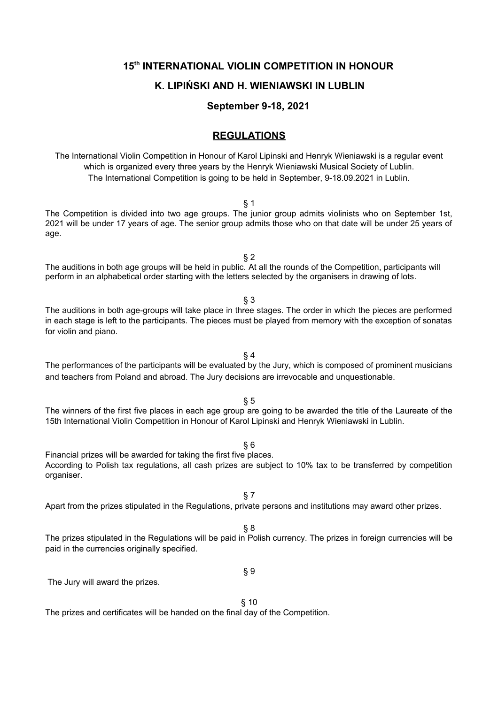## **15th INTERNATIONAL VIOLIN COMPETITION IN HONOUR**

# **K. LIPIŃSKI AND H. WIENIAWSKI IN LUBLIN**

**September 9-18, 2021**

# **REGULATIONS**

The International Violin Competition in Honour of Karol Lipinski and Henryk Wieniawski is a regular event which is organized every three years by the Henryk Wieniawski Musical Society of Lublin. The International Competition is going to be held in September, 9-18.09.2021 in Lublin.

§ 1

The Competition is divided into two age groups. The junior group admits violinists who on September 1st, 2021 will be under 17 years of age. The senior group admits those who on that date will be under 25 years of age.

 $§$  2 The auditions in both age groups will be held in public. At all the rounds of the Competition, participants will perform in an alphabetical order starting with the letters selected by the organisers in drawing of lots.

§ 3

The auditions in both age-groups will take place in three stages. The order in which the pieces are performed in each stage is left to the participants. The pieces must be played from memory with the exception of sonatas for violin and piano.

§ 4 The performances of the participants will be evaluated by the Jury, which is composed of prominent musicians and teachers from Poland and abroad. The Jury decisions are irrevocable and unquestionable.

The winners of the first five places in each age group are going to be awarded the title of the Laureate of the 15th International Violin Competition in Honour of Karol Lipinski and Henryk Wieniawski in Lublin.

§ 6 Financial prizes will be awarded for taking the first five places. According to Polish tax regulations, all cash prizes are subject to 10% tax to be transferred by competition organiser.

- 
- Apart from the prizes stipulated in the Regulations, private persons and institutions may award other prizes.
	- § 8

§ 7

The prizes stipulated in the Regulations will be paid in Polish currency. The prizes in foreign currencies will be paid in the currencies originally specified.

§ 9

The Jury will award the prizes.

# § 10

The prizes and certificates will be handed on the final day of the Competition.

§ 5